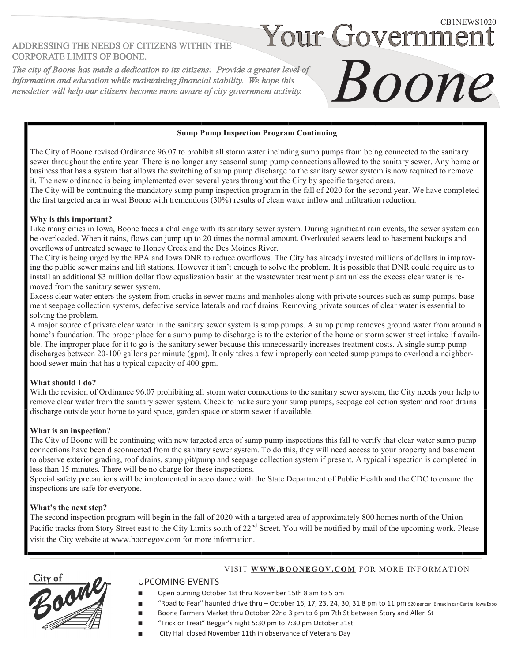# ADDRESSING THE NEEDS OF CITIZENS WITHIN THE **CORPORATE LIMITS OF BOONE.**

The city of Boone has made a dedication to its citizens: Provide a greater level of information and education while maintaining financial stability. We hope this newsletter will help our citizens become more aware of city government activity.

## **Sump Pump Inspection Program Continuing**

The City of Boone revised Ordinance 96.07 to prohibit all storm water including sump pumps from being connected to the sanitary sewer throughout the entire year. There is no longer any seasonal sump pump connections allowed to the sanitary sewer. Any home or business that has a system that allows the switching of sump pump discharge to the sanitary sewer system is now required to remove it. The new ordinance is being implemented over several years throughout the City by specific targeted areas.

The City will be continuing the mandatory sump pump inspection program in the fall of 2020 for the second year. We have completed the first targeted area in west Boone with tremendous (30%) results of clean water inflow and infiltration reduction.

## **Why is this important?**

Like many cities in Iowa, Boone faces a challenge with its sanitary sewer system. During significant rain events, the sewer system can be overloaded. When it rains, flows can jump up to 20 times the normal amount. Overloaded sewers lead to basement backups and overflows of untreated sewage to Honey Creek and the Des Moines River.

The City is being urged by the EPA and Iowa DNR to reduce overflows. The City has already invested millions of dollars in improving the public sewer mains and lift stations. However it isn't enough to solve the problem. It is possible that DNR could require us to install an additional \$3 million dollar flow equalization basin at the wastewater treatment plant unless the excess clear water is removed from the sanitary sewer system.

Excess clear water enters the system from cracks in sewer mains and manholes along with private sources such as sump pumps, basement seepage collection systems, defective service laterals and roof drains. Removing private sources of clear water is essential to solving the problem.

A major source of private clear water in the sanitary sewer system is sump pumps. A sump pump removes ground water from around a home's foundation. The proper place for a sump pump to discharge is to the exterior of the home or storm sewer street intake if available. The improper place for it to go is the sanitary sewer because this unnecessarily increases treatment costs. A single sump pump discharges between 20-100 gallons per minute (gpm). It only takes a few improperly connected sump pumps to overload a neighborhood sewer main that has a typical capacity of 400 gpm.

## **What should I do?**

With the revision of Ordinance 96.07 prohibiting all storm water connections to the sanitary sewer system, the City needs your help to remove clear water from the sanitary sewer system. Check to make sure your sump pumps, seepage collection system and roof drains discharge outside your home to yard space, garden space or storm sewer if available.

#### **What is an inspection?**

The City of Boone will be continuing with new targeted area of sump pump inspections this fall to verify that clear water sump pump connections have been disconnected from the sanitary sewer system. To do this, they will need access to your property and basement to observe exterior grading, roof drains, sump pit/pump and seepage collection system if present. A typical inspection is completed in less than 15 minutes. There will be no charge for these inspections.

Special safety precautions will be implemented in accordance with the State Department of Public Health and the CDC to ensure the inspections are safe for everyone.

## **What's the next step?**

The second inspection program will begin in the fall of 2020 with a targeted area of approximately 800 homes north of the Union Pacific tracks from Story Street east to the City Limits south of  $22<sup>nd</sup>$  Street. You will be notified by mail of the upcoming work. Please visit the City website at www.boonegov.com for more information.



# UPCOMING EVENTS

- Open burning October 1st thru November 15th 8 am to 5 pm
- "Road to Fear" haunted drive thru October 16, 17, 23, 24, 30, 31 8 pm to 11 pm \$20 per car (6 max in car)Central Iowa Expo

VISIT WWW.BOONEGOV.COM FOR MORE INFORMATION

Your Governmei

Boone

- Boone Farmers Market thru October 22nd 3 pm to 6 pm 7th St between Story and Allen St
- "Trick or Treat" Beggar's night 5:30 pm to 7:30 pm October 31st
- City Hall closed November 11th in observance of Veterans Day